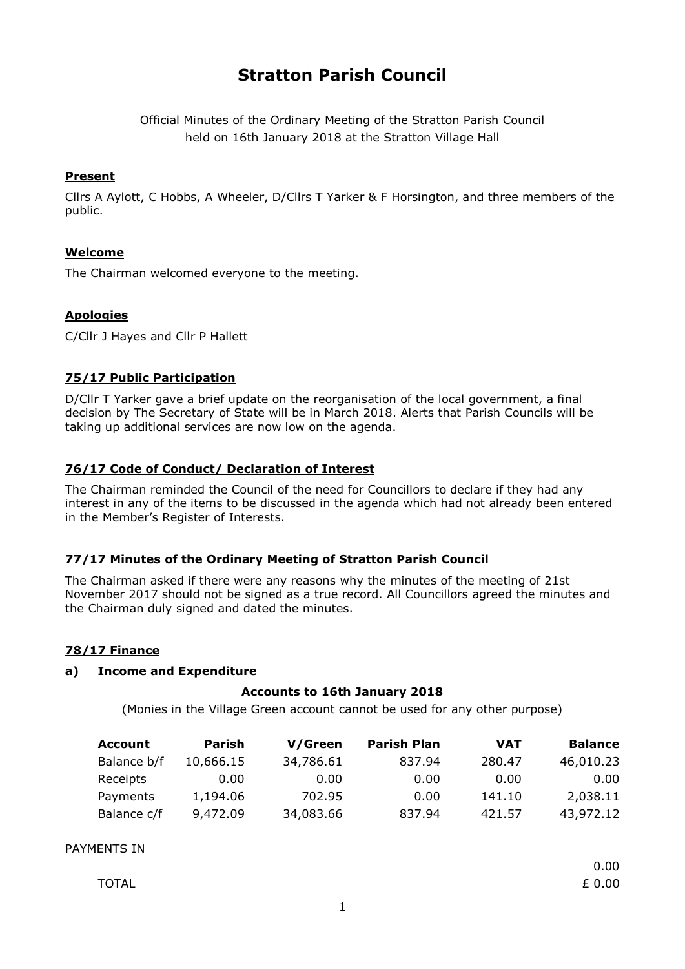# **Stratton Parish Council**

Official Minutes of the Ordinary Meeting of the Stratton Parish Council held on 16th January 2018 at the Stratton Village Hall

### **Present**

Cllrs A Aylott, C Hobbs, A Wheeler, D/Cllrs T Yarker & F Horsington, and three members of the public.

# **Welcome**

The Chairman welcomed everyone to the meeting.

### **Apologies**

C/Cllr J Hayes and Cllr P Hallett

### **75/17 Public Participation**

D/Cllr T Yarker gave a brief update on the reorganisation of the local government, a final decision by The Secretary of State will be in March 2018. Alerts that Parish Councils will be taking up additional services are now low on the agenda.

# **76/17 Code of Conduct/ Declaration of Interest**

The Chairman reminded the Council of the need for Councillors to declare if they had any interest in any of the items to be discussed in the agenda which had not already been entered in the Member's Register of Interests.

#### **77/17 Minutes of the Ordinary Meeting of Stratton Parish Council**

The Chairman asked if there were any reasons why the minutes of the meeting of 21st November 2017 should not be signed as a true record. All Councillors agreed the minutes and the Chairman duly signed and dated the minutes.

#### **78/17 Finance**

#### **a) Income and Expenditure**

#### **Accounts to 16th January 2018**

(Monies in the Village Green account cannot be used for any other purpose)

| <b>Account</b> | Parish    | V/Green   | <b>Parish Plan</b> | <b>VAT</b> | <b>Balance</b> |
|----------------|-----------|-----------|--------------------|------------|----------------|
| Balance b/f    | 10,666.15 | 34,786.61 | 837.94             | 280.47     | 46,010.23      |
| Receipts       | 0.00      | 0.00      | 0.00               | 0.00       | 0.00           |
| Payments       | 1,194.06  | 702.95    | 0.00               | 141.10     | 2,038.11       |
| Balance c/f    | 9,472.09  | 34,083.66 | 837.94             | 421.57     | 43,972.12      |

### PAYMENTS IN

0.00

| <b>TOTAL</b> | £ 0.00 |
|--------------|--------|
|--------------|--------|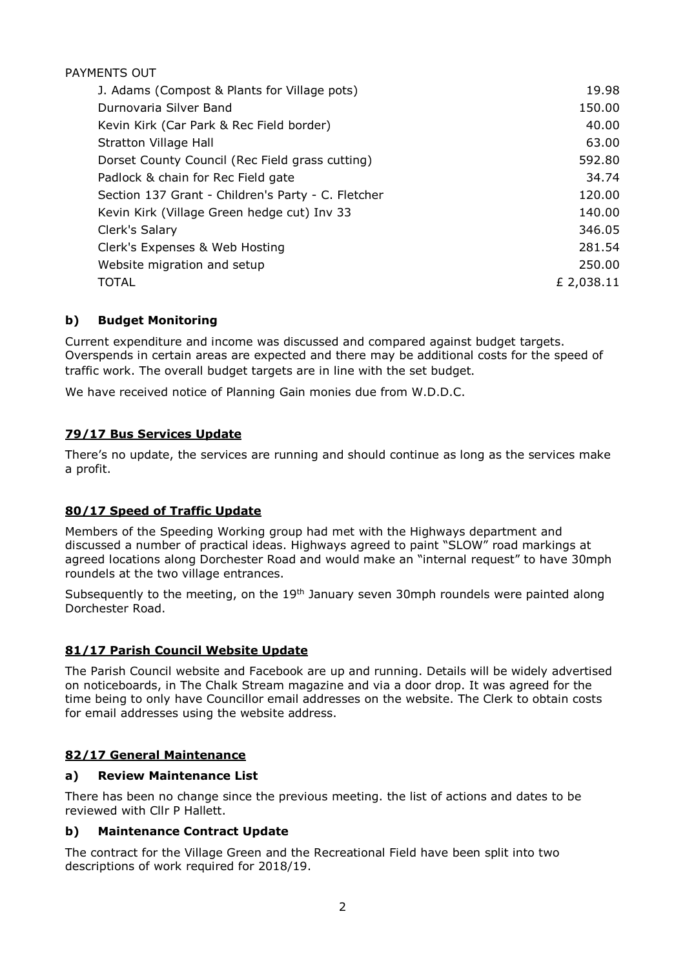# PAYMENTS OUT

| J. Adams (Compost & Plants for Village pots)       | 19.98      |
|----------------------------------------------------|------------|
| Durnovaria Silver Band                             | 150.00     |
| Kevin Kirk (Car Park & Rec Field border)           | 40.00      |
| Stratton Village Hall                              | 63.00      |
| Dorset County Council (Rec Field grass cutting)    | 592.80     |
| Padlock & chain for Rec Field gate                 | 34.74      |
| Section 137 Grant - Children's Party - C. Fletcher | 120.00     |
| Kevin Kirk (Village Green hedge cut) Inv 33        | 140.00     |
| Clerk's Salary                                     | 346.05     |
| Clerk's Expenses & Web Hosting                     | 281.54     |
| Website migration and setup                        | 250.00     |
| <b>TOTAL</b>                                       | £ 2,038.11 |

# **b) Budget Monitoring**

Current expenditure and income was discussed and compared against budget targets. Overspends in certain areas are expected and there may be additional costs for the speed of traffic work. The overall budget targets are in line with the set budget.

We have received notice of Planning Gain monies due from W.D.D.C.

# **79/17 Bus Services Update**

There's no update, the services are running and should continue as long as the services make a profit.

# **80/17 Speed of Traffic Update**

Members of the Speeding Working group had met with the Highways department and discussed a number of practical ideas. Highways agreed to paint "SLOW" road markings at agreed locations along Dorchester Road and would make an "internal request" to have 30mph roundels at the two village entrances.

Subsequently to the meeting, on the 19<sup>th</sup> January seven 30mph roundels were painted along Dorchester Road.

# **81/17 Parish Council Website Update**

The Parish Council website and Facebook are up and running. Details will be widely advertised on noticeboards, in The Chalk Stream magazine and via a door drop. It was agreed for the time being to only have Councillor email addresses on the website. The Clerk to obtain costs for email addresses using the website address.

# **82/17 General Maintenance**

# **a) Review Maintenance List**

There has been no change since the previous meeting. the list of actions and dates to be reviewed with Cllr P Hallett.

# **b) Maintenance Contract Update**

The contract for the Village Green and the Recreational Field have been split into two descriptions of work required for 2018/19.